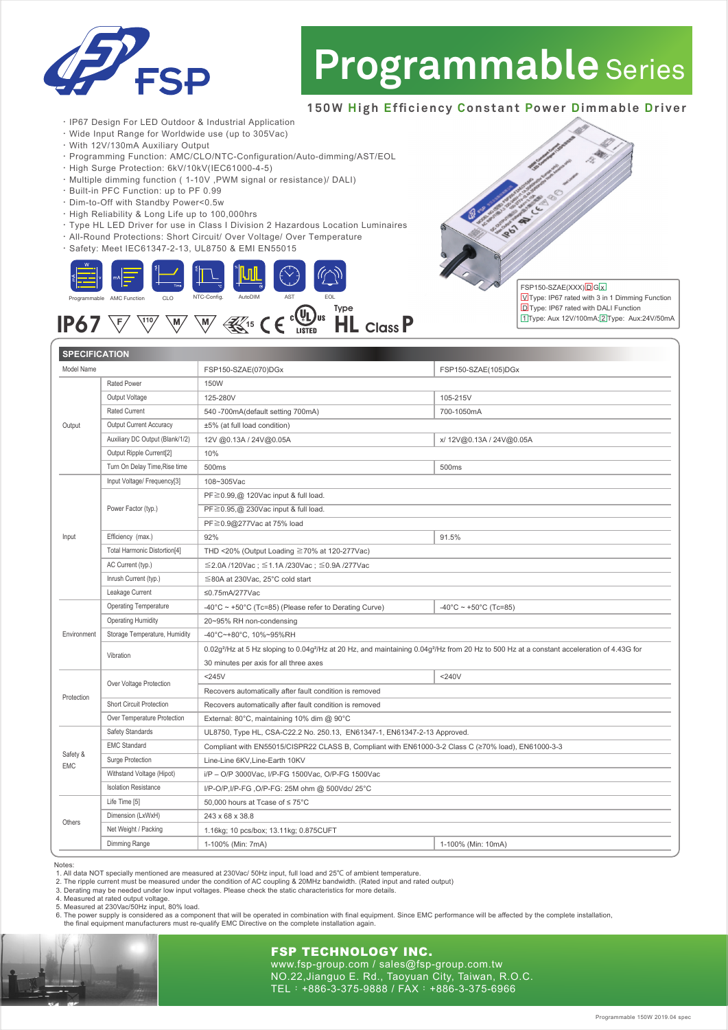

# **Programmable** Series

## **150W High Efficiency Constant Power Dimmable Driver**

FSP150-SZAE(XXX) D G x

Type: IP67 rated with 3 in 1 Dimming Function D Type: IP67 rated with DALI Function 1 Type: Aux 12V/100mA; 2 Type: Aux:24V/50mA

- ‧IP67 Design For LED Outdoor & Industrial Application
- ‧Wide Input Range for Worldwide use (up to 305Vac)
- ‧With 12V/130mA Auxiliary Output
- ‧Programming Function: AMC/CLO/NTC-Configuration/Auto-dimming/AST/EOL
- ‧High Surge Protection: 6kV/10kV(IEC61000-4-5)
- ‧Multiple dimming function ( 1-10V ,PWM signal or resistance)/ DALI)
- ‧Built-in PFC Function: up to PF 0.99
- ‧Dim-to-Off with Standby Power<0.5w
- ‧High Reliability & Long Life up to 100,000hrs
- ‧Type HL LED Driver for use in Class I Division 2 Hazardous Location Luminaires
- ‧All-Round Protections: Short Circuit/ Over Voltage/ Over Temperature
- ‧Safety: Meet IEC61347-2-13, UL8750 & EMI EN55015



## $IP67$   $\overline{\mathbb{W}}$   $\overline{\mathbb{W}}$   $\overline{\mathbb{W}}$   $\overline{\mathbb{W}}$   $\overline{\mathbb{W}}$   $\mathbb{W}$   $\mathbb{W}$   $\mathbb{W}$   $\mathbb{C}$   $\mathbb{C}$   $\mathbb{W}$   $\mathbb{H}$   $\mathbb{C}$  lass  $\mathsf{P}$

FSP150-SZAE(070)DGx 150W 125-280V 540 -700mA(default setting 700mA) ±5% (at full load condition) 12V @0.13A / 24V@0.05A 10% 500ms 108~305Vac PF≧0.99,@ 120Vac input & full load. PF≧0.95,@ 230Vac input & full load. PF≧0.9@277Vac at 75% load 92% THD <20% (Output Loading ≧70% at 120-277Vac) ≦2.0A /120Vac ; ≦1.1A /230Vac ; ≦0.9A /277Vac ≦80A at 230Vac, 25°C cold start ≤0.75mA/277Vac -40°C ~ +50°C (Tc=85) (Please refer to Derating Curve) 20~95% RH non-condensing -40°C~+80°C, 10%~95%RH 0.02g²/Hz at 5 Hz sloping to 0.04g²/Hz at 20 Hz, and maintaining 0.04g²/Hz from 20 Hz to 500 Hz at a constant acceleration of 4.43G for 30 minutes per axis for all three axes  $<$ 245 $V$ Recovers automatically after fault condition is removed Recovers automatically after fault condition is removed External: 80°C, maintaining 10% dim @ 90°C UL8750, Type HL, CSA-C22.2 No. 250.13, EN61347-1, EN61347-2-13 Approved. Compliant with EN55015/CISPR22 CLASS B, Compliant with EN61000-3-2 Class C (≥70% load), EN61000-3-3 Line-Line 6KV Line-Earth 10KV i/P – O/P 3000Vac, I/P-FG 1500Vac, O/P-FG 1500Vac I/P-O/P,I/P-FG ,O/P-FG: 25M ohm @ 500Vdc/ 25°C 50,000 hours at Tcase of ≤ 75°C 243 x 68 x 38.8 1.16kg; 10 pcs/box; 13.11kg; 0.875CUFT FSP150-SZAE(105)DGx 105-215V 700-1050mA x/ 12V@0.13A / 24V@0.05A 500ms 91.5%  $-40^{\circ}$ C ~ +50 $^{\circ}$ C (Tc=85)  $< 240V$ Rated Power Output Voltage Rated Current Output Current Accuracy Auxiliary DC Output (Blank/1/2) Output Ripple Current<sup>[2]</sup> Turn On Delay Time,Rise time Input Voltage/ Frequency[3] Power Factor (typ.) Efficiency (max.) Total Harmonic Distortion[4] AC Current (typ.) Inrush Current (typ.) Leakage Current Operating Temperature Operating Humidity Storage Temperature, Humidity Vibration Over Voltage Protection Short Circuit Protection Over Temperature Protection Safety Standards EMC Standard Surge Protection Withstand Voltage (Hipot) Isolation Resistance Life Time [5] Dimension (LxWxH) Net Weight / Packing Model Name Environment Protection **SPECIFICATION** 

### Notes:

Safety & EMC

**Others** 

Output

Input

1. All data NOT specially mentioned are measured at 230Vac/ 50Hz input, full load and 25℃ of ambient temperature.

1-100% (Min: 7mA)

2. The ripple current must be measured under the condition of AC coupling & 20MHz bandwidth. (Rated input and rated output)<br>3. Derating may be needed under low input voltages. Please check the static characteristics for mo

4. Measured at rated output voltage.

Dimming Range

5. Measured at 230Vac/50Hz input, 80% load.

6. The power supply is considered as a component that will be operated in combination with final equipment. Since EMC performance will be affected by the complete installation, the final equipment manufacturers must re-qua

### FSP TECHNOLOGY INC. www.fsp-group.com / sales@fsp-group.com.tw

NO.22,Jianguo E. Rd., Taoyuan City, Taiwan, R.O.C. TEL:+886-3-375-9888 / FAX:+886-3-375-6966

1-100% (Min: 10mA)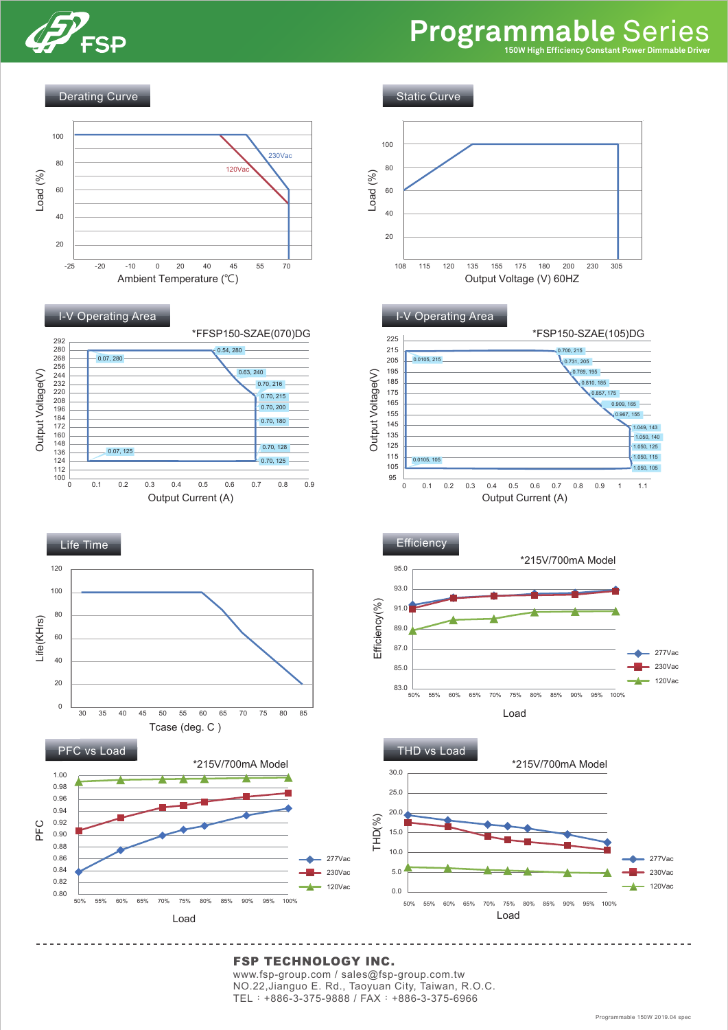

## **Programmable** Series



### FSP TECHNOLOGY INC.

www.fsp-group.com / sales@fsp-group.com.tw NO.22,Jianguo E. Rd., Taoyuan City, Taiwan, R.O.C. TEL:+886-3-375-9888 / FAX:+886-3-375-6966